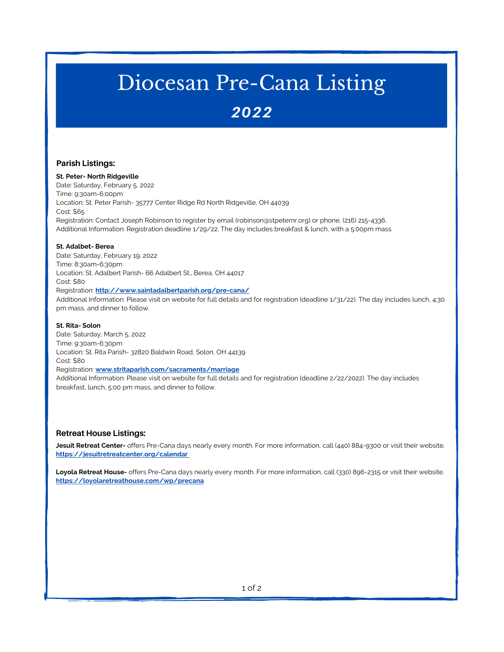## Diocesan Pre-Cana Listing

### 2022

#### **Parish Listings:**

**St. Peter- North Ridgeville** Date: Saturday, February 5, 2022 Time: 9:30am-6:00pm Location: St. Peter Parish- 35777 Center Ridge Rd North Ridgeville, OH 44039 Cost: \$65 Registration: Contact Joseph Robinson to register by email (robinson@stpeternr.org) or phone, (216) 215-4336. Additional Information: Registration deadline 1/29/22. The day includes breakfast & lunch, with a 5:00pm mass.

#### **St. Adalbet- Berea**

Date: Saturday, February 19, 2022 Time: 8:30am-6:30pm Location: St. Adalbert Parish- 66 Adalbert St., Berea, OH 44017 Cost: \$80 Registration: **<http://www.saintadalbertparish.org/pre-cana/>** Additional Information: Please visit on website for full details and for registration (deadline 1/31/22). The day includes lunch, 4:30 pm mass, and dinner to follow.

#### **St. Rita- Solon**

Date: Saturday, March 5, 2022 Time: 9:30am-6:30pm Location: St. Rita Parish- 32820 Baldwin Road, Solon, OH 44139 Cost: \$80 Registration: **[www.stritaparish.com/sacraments/marriage](http://www.stritaparish.com/sacraments/marriage)** Additional Information: Please visit on website for full details and for registration (deadline 2/22/2022). The day includes breakfast, lunch, 5:00 pm mass, and dinner to follow.

#### **Retreat House Listings:**

**Jesuit Retreat Center-** offers Pre-Cana days nearly every month. For more information, call (440) 884-9300 or visit their website. **<https://jesuitretreatcenter.org/calendar>**

**Loyola Retreat House-** offers Pre-Cana days nearly every month. For more information, call (330) 896-2315 or visit their website. **<https://loyolaretreathouse.com/wp/precana>**